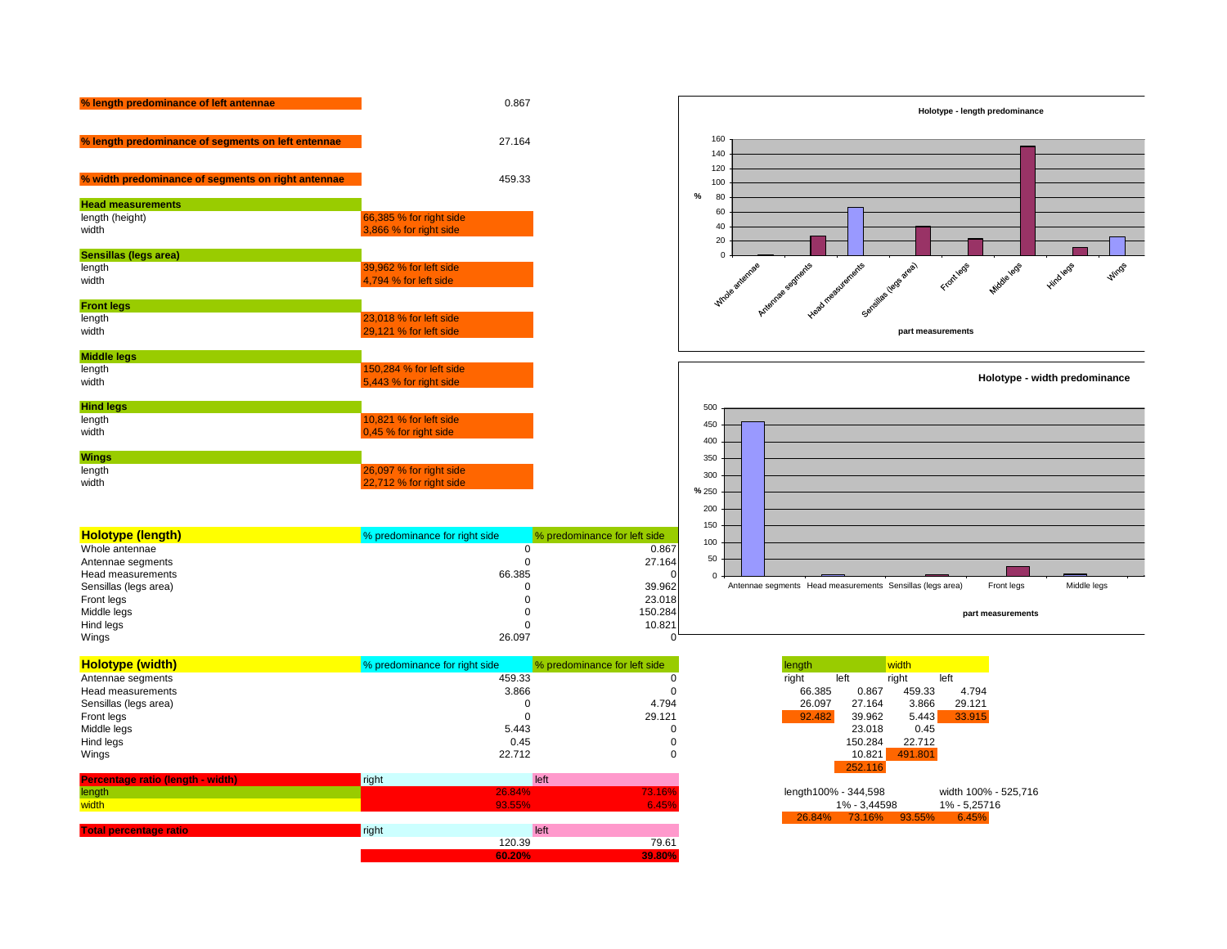| % length predominance of left antennae             |                                                    | 0.867  |
|----------------------------------------------------|----------------------------------------------------|--------|
| % length predominance of segments on left entennae |                                                    | 27.164 |
| % width predominance of segments on right antennae |                                                    | 459.33 |
| <b>Head measurements</b>                           |                                                    |        |
| length (height)<br>width                           | 66,385 % for right side<br>3,866 % for right side  |        |
| Sensillas (legs area)                              |                                                    |        |
| length<br>width                                    | 39,962 % for left side<br>4,794 % for left side    |        |
| <b>Front legs</b>                                  |                                                    |        |
| length<br>width                                    | 23,018 % for left side<br>29,121 % for left side   |        |
| <b>Middle legs</b>                                 |                                                    |        |
| length<br>width                                    | 150,284 % for left side<br>5,443 % for right side  |        |
| <b>Hind legs</b>                                   |                                                    |        |
| length<br>width                                    | 10,821 % for left side<br>0,45 % for right side    |        |
| <b>Wings</b>                                       |                                                    |        |
| length<br>width                                    | 26,097 % for right side<br>22.712 % for right side |        |

| <b>Holotype (length)</b> | % predominance for right side | % predominance for left side |
|--------------------------|-------------------------------|------------------------------|
| Whole antennae           |                               | 0.867                        |
| Antennae segments        |                               | 27.164                       |
| Head measurements        | 66.385                        | OI                           |
| Sensillas (legs area)    |                               | 39.962                       |
| Front legs               | O                             | 23.018                       |
| Middle legs              | 0                             | 150.284                      |
| Hind legs                |                               | 10.821                       |
| Wings                    | 26.097                        |                              |

| <b>Holotype (width)</b> | % predominance for right side | % predominance for left side | length        |         |         |        |
|-------------------------|-------------------------------|------------------------------|---------------|---------|---------|--------|
| Antennae segments       | 459.33                        |                              | right<br>left |         | riaht   | left   |
| Head measurements       | 3.866                         |                              | 66.385        | 0.867   | 459.33  | 4.794  |
| Sensillas (legs area)   |                               | 4.794                        | 26.097        | 27.164  | 3.866   | 29.121 |
| Front legs              |                               | 29.121                       | 92.482        | 39.962  | 5.443   | 33.915 |
| Middle legs             | 5.443                         |                              |               | 23.018  | 0.45    |        |
| Hind legs               | 0.45                          |                              |               | 150.284 | 22.712  |        |
| Wings                   | 22.712                        |                              |               | 10.821  | 491.801 |        |

| Percentage ratio (length - width) | right | left   |        |                      |                      |              |
|-----------------------------------|-------|--------|--------|----------------------|----------------------|--------------|
| length                            |       | 26.84% | 73.16% | length100% - 344,598 |                      | width 100% - |
| width                             |       | 93.55% | 6.45%  |                      | 1% - 3.44598         | 1% - 5,25716 |
|                                   |       |        |        |                      | 26.84% 73.16% 93.55% | 6.45%        |
| <b>Total percentage ratio</b>     | right | left   |        |                      |                      |              |
|                                   |       | 120.39 | 79.61  |                      |                      |              |
|                                   |       | 60.20% | 39.80% |                      |                      |              |